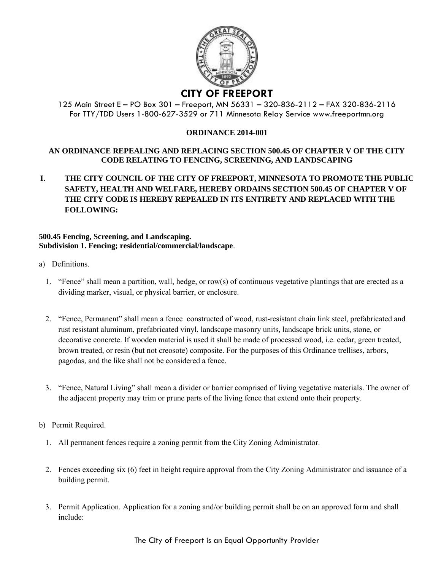

## 125 Main Street E – PO Box 301 – Freeport, MN 56331 – 320-836-2112 – FAX 320-836-2116 For TTY/TDD Users 1-800-627-3529 or 711 Minnesota Relay Service www.freeportmn.org

## **ORDINANCE 2014-001**

## **AN ORDINANCE REPEALING AND REPLACING SECTION 500.45 OF CHAPTER V OF THE CITY CODE RELATING TO FENCING, SCREENING, AND LANDSCAPING**

**I. THE CITY COUNCIL OF THE CITY OF FREEPORT, MINNESOTA TO PROMOTE THE PUBLIC SAFETY, HEALTH AND WELFARE, HEREBY ORDAINS SECTION 500.45 OF CHAPTER V OF THE CITY CODE IS HEREBY REPEALED IN ITS ENTIRETY AND REPLACED WITH THE FOLLOWING:** 

## **500.45 Fencing, Screening, and Landscaping. Subdivision 1. Fencing; residential/commercial/landscape**.

- a) Definitions.
	- 1. "Fence" shall mean a partition, wall, hedge, or row(s) of continuous vegetative plantings that are erected as a dividing marker, visual, or physical barrier, or enclosure.
	- 2. "Fence, Permanent" shall mean a fence constructed of wood, rust-resistant chain link steel, prefabricated and rust resistant aluminum, prefabricated vinyl, landscape masonry units, landscape brick units, stone, or decorative concrete. If wooden material is used it shall be made of processed wood, i.e. cedar, green treated, brown treated, or resin (but not creosote) composite. For the purposes of this Ordinance trellises, arbors, pagodas, and the like shall not be considered a fence.
	- 3. "Fence, Natural Living" shall mean a divider or barrier comprised of living vegetative materials. The owner of the adjacent property may trim or prune parts of the living fence that extend onto their property.
- b) Permit Required.
	- 1. All permanent fences require a zoning permit from the City Zoning Administrator.
	- 2. Fences exceeding six (6) feet in height require approval from the City Zoning Administrator and issuance of a building permit.
	- 3. Permit Application. Application for a zoning and/or building permit shall be on an approved form and shall include: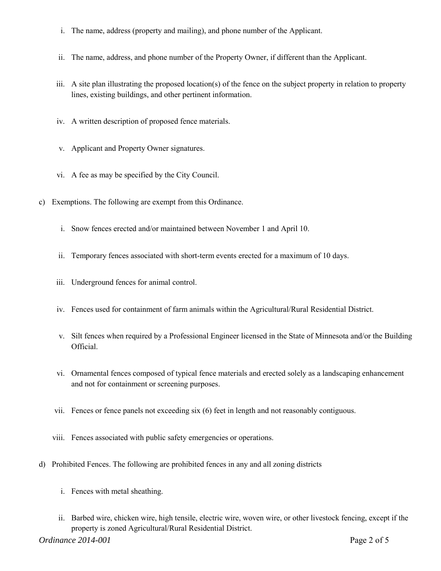- i. The name, address (property and mailing), and phone number of the Applicant.
- ii. The name, address, and phone number of the Property Owner, if different than the Applicant.
- iii. A site plan illustrating the proposed location(s) of the fence on the subject property in relation to property lines, existing buildings, and other pertinent information.
- iv. A written description of proposed fence materials.
- v. Applicant and Property Owner signatures.
- vi. A fee as may be specified by the City Council.
- c) Exemptions. The following are exempt from this Ordinance.
	- i. Snow fences erected and/or maintained between November 1 and April 10.
	- ii. Temporary fences associated with short-term events erected for a maximum of 10 days.
	- iii. Underground fences for animal control.
	- iv. Fences used for containment of farm animals within the Agricultural/Rural Residential District.
	- v. Silt fences when required by a Professional Engineer licensed in the State of Minnesota and/or the Building Official.
	- vi. Ornamental fences composed of typical fence materials and erected solely as a landscaping enhancement and not for containment or screening purposes.
	- vii. Fences or fence panels not exceeding six (6) feet in length and not reasonably contiguous.
	- viii. Fences associated with public safety emergencies or operations.
- d) Prohibited Fences. The following are prohibited fences in any and all zoning districts
	- i. Fences with metal sheathing.
	- ii. Barbed wire, chicken wire, high tensile, electric wire, woven wire, or other livestock fencing, except if the property is zoned Agricultural/Rural Residential District.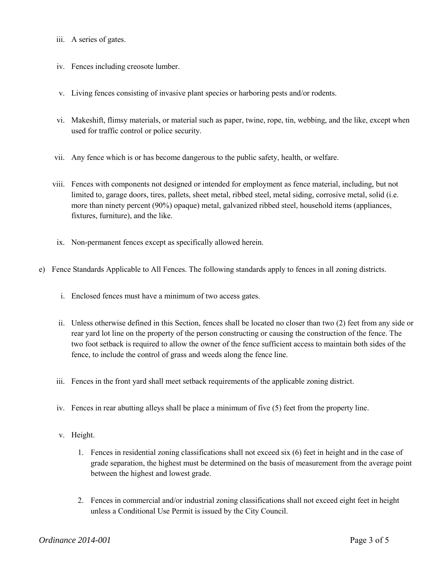- iii. A series of gates.
- iv. Fences including creosote lumber.
- v. Living fences consisting of invasive plant species or harboring pests and/or rodents.
- vi. Makeshift, flimsy materials, or material such as paper, twine, rope, tin, webbing, and the like, except when used for traffic control or police security.
- vii. Any fence which is or has become dangerous to the public safety, health, or welfare.
- viii. Fences with components not designed or intended for employment as fence material, including, but not limited to, garage doors, tires, pallets, sheet metal, ribbed steel, metal siding, corrosive metal, solid (i.e. more than ninety percent (90%) opaque) metal, galvanized ribbed steel, household items (appliances, fixtures, furniture), and the like.
- ix. Non-permanent fences except as specifically allowed herein.
- e) Fence Standards Applicable to All Fences. The following standards apply to fences in all zoning districts.
	- i. Enclosed fences must have a minimum of two access gates.
	- ii. Unless otherwise defined in this Section, fences shall be located no closer than two (2) feet from any side or rear yard lot line on the property of the person constructing or causing the construction of the fence. The two foot setback is required to allow the owner of the fence sufficient access to maintain both sides of the fence, to include the control of grass and weeds along the fence line.
	- iii. Fences in the front yard shall meet setback requirements of the applicable zoning district.
	- iv. Fences in rear abutting alleys shall be place a minimum of five (5) feet from the property line.
	- v. Height.
		- 1. Fences in residential zoning classifications shall not exceed six (6) feet in height and in the case of grade separation, the highest must be determined on the basis of measurement from the average point between the highest and lowest grade.
		- 2. Fences in commercial and/or industrial zoning classifications shall not exceed eight feet in height unless a Conditional Use Permit is issued by the City Council.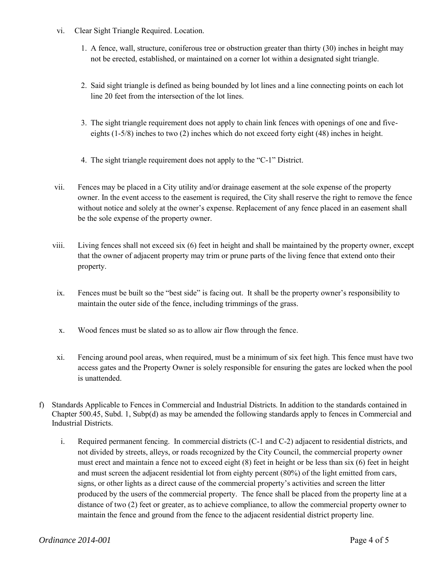- vi. Clear Sight Triangle Required. Location.
	- 1. A fence, wall, structure, coniferous tree or obstruction greater than thirty (30) inches in height may not be erected, established, or maintained on a corner lot within a designated sight triangle.
	- 2. Said sight triangle is defined as being bounded by lot lines and a line connecting points on each lot line 20 feet from the intersection of the lot lines.
	- 3. The sight triangle requirement does not apply to chain link fences with openings of one and fiveeights (1-5/8) inches to two (2) inches which do not exceed forty eight (48) inches in height.
	- 4. The sight triangle requirement does not apply to the "C-1" District.
- vii. Fences may be placed in a City utility and/or drainage easement at the sole expense of the property owner. In the event access to the easement is required, the City shall reserve the right to remove the fence without notice and solely at the owner's expense. Replacement of any fence placed in an easement shall be the sole expense of the property owner.
- viii. Living fences shall not exceed six (6) feet in height and shall be maintained by the property owner, except that the owner of adjacent property may trim or prune parts of the living fence that extend onto their property.
- ix. Fences must be built so the "best side" is facing out. It shall be the property owner's responsibility to maintain the outer side of the fence, including trimmings of the grass.
- x. Wood fences must be slated so as to allow air flow through the fence.
- xi. Fencing around pool areas, when required, must be a minimum of six feet high. This fence must have two access gates and the Property Owner is solely responsible for ensuring the gates are locked when the pool is unattended.
- f) Standards Applicable to Fences in Commercial and Industrial Districts. In addition to the standards contained in Chapter 500.45, Subd. 1, Subp(d) as may be amended the following standards apply to fences in Commercial and Industrial Districts.
	- i. Required permanent fencing. In commercial districts (C-1 and C-2) adjacent to residential districts, and not divided by streets, alleys, or roads recognized by the City Council, the commercial property owner must erect and maintain a fence not to exceed eight (8) feet in height or be less than six (6) feet in height and must screen the adjacent residential lot from eighty percent (80%) of the light emitted from cars, signs, or other lights as a direct cause of the commercial property's activities and screen the litter produced by the users of the commercial property. The fence shall be placed from the property line at a distance of two (2) feet or greater, as to achieve compliance, to allow the commercial property owner to maintain the fence and ground from the fence to the adjacent residential district property line.